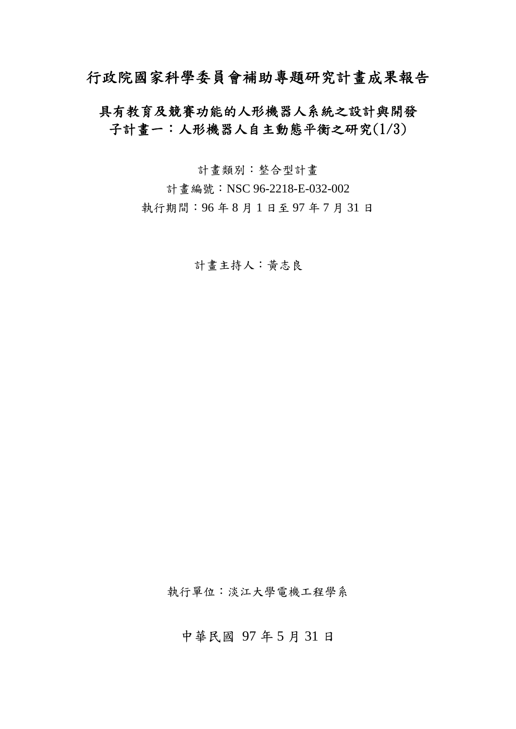# 行政院國家科學委員會補助專題研究計畫成果報告

## 具有教育及競賽功能的人形機器人系統之設計與開發 子計畫一:人形機器人自主動態平衡之研究(1/3)

計畫類別:整合型計畫 計書編號: NSC 96-2218-E-032-002 執行期間:96 年 8 月 1 日至 97 年 7 月 31 日

計畫主持人:黃志良

執行單位:淡江大學電機工程學系

中華民國 97 年 5 月 31 日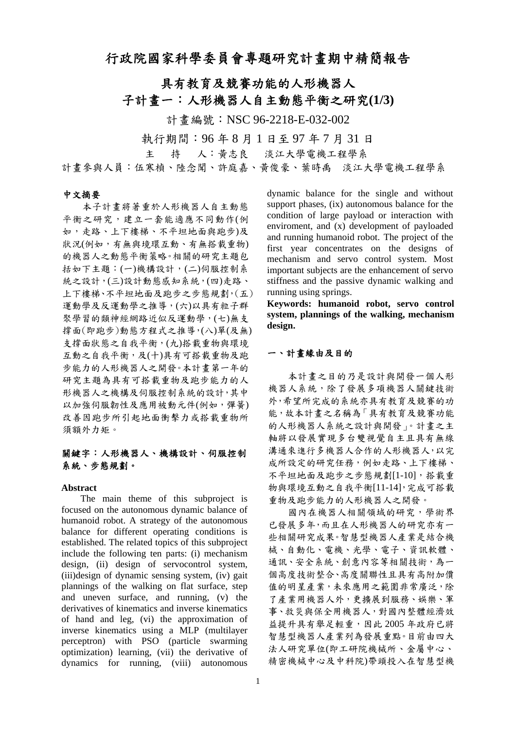## 行政院國家科學委員會專題研究計畫期中精簡報告

具有教育及競賽功能的人形機器人 子計畫一:人形機器人自主動態平衡之研究**(1/3)** 

計畫編號:NSC 96-2218-E-032-002

執行期間:96 年 8 月 1 日至 97 年 7 月 31 日

主 持 人:黃志良 淡江大學電機工程學系

計畫參與人員:伍寒楨、陸念聞、許庭嘉、黃俊豪、葉時禹 淡江大學電機工程學系

#### 中文摘要

本子計畫將著重於人形機器人自主動態 平衡之研究,建立一套能適應不同動作(例 如,走路、上下樓梯、不平坦地面與跑步)及 狀況(例如,有無與境環互動、有無搭載重物) 的機器人之動態平衡策略。相關的研究主題包 括如下主題:(一)機構設計,(二)伺服控制系 統之設計,(三)設計動態感知系統,(四)走路、 上下樓梯、不平坦地面及跑步之步態規劃,(五) 運動學及反運動學之推導,(六)以具有粒子群 聚學習的類神經網路近似反運動學,(七)無支 撐面(即跑步)動態方程式之推導,(八)單(及無) 支撐面狀態之自我平衡,(九)搭載重物與環境 互動之自我平衡,及(十)具有可搭載重物及跑 步能力的人形機器人之開發。本計畫第一年的 研究主題為具有可搭載重物及跑步能力的人 形機器人之機構及伺服控制系統的設計,其中 以加強伺服韌性及應用被動元件(例如,彈簧) 改善因跑步所引起地面衝擊力或搭載重物所 須額外力矩。

## 關鍵字:人形機器人、機構設計、伺服控制 系統、步態規劃。

#### **Abstract**

The main theme of this subproject is focused on the autonomous dynamic balance of humanoid robot. A strategy of the autonomous balance for different operating conditions is established. The related topics of this subproject include the following ten parts: (i) mechanism design, (ii) design of servocontrol system, (iii)design of dynamic sensing system, (iv) gait plannings of the walking on flat surface, step and uneven surface, and running, (v) the derivatives of kinematics and inverse kinematics of hand and leg, (vi) the approximation of inverse kinematics using a MLP (multilayer perceptron) with PSO (particle swarming optimization) learning, (vii) the derivative of dynamics for running, (viii) autonomous dynamic balance for the single and without support phases, (ix) autonomous balance for the condition of large payload or interaction with enviroment, and (x) development of payloaded and running humanoid robot. The project of the first year concentrates on the designs of mechanism and servo control system. Most important subjects are the enhancement of servo stiffness and the passive dynamic walking and running using springs.

**Keywords: humanoid robot, servo control system, plannings of the walking, mechanism design.** 

#### 一、計畫緣由及目的

本計畫之目的乃是設計與開發一個人形 機器人系統,除了發展多項機器人關鍵技術 外,希望所完成的系統亦具有教育及競賽的功 能,故本計畫之名稱為「具有教育及競賽功能 的人形機器人系統之設計與開發」。計畫之主 軸將以發展實現多台雙視覺自主且具有無線 溝通來進行多機器人合作的人形機器人,以完 成所設定的研究任務,例如走路、上下樓梯、 不平坦地面及跑步之步態規劃[1-10],搭載重 物與環境互動之自我平衡[11-14],完成可搭載 重物及跑步能力的人形機器人之開發。

國內在機器人相關領域的研究,學術界 已發展多年,而且在人形機器人的研究亦有一 些相關研究成果。智慧型機器人產業是結合機 械、自動化、電機、光學、電子、資訊軟體、 通訊、安全系統、創意內容等相關技術,為一 個高度技術整合、高度關聯性且具有高附加價 值的明星產業,未來應用之範圍非常廣泛,除 了產業用機器人外,更擴展到服務、娛樂、軍 事、救災與保全用機器人,對國內整體經濟效 益提升具有舉足輕重,因此 2005 年政府已將 智慧型機器人產業列為發展重點。目前由四大 法人研究單位(即工研院機械所、金屬中心、 精密機械中心及中科院)帶頭投入在智慧型機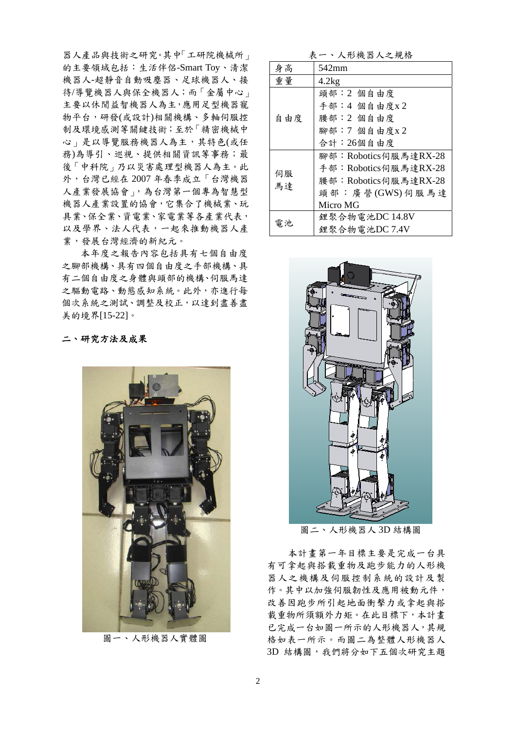器人產品與技術之研究。其中「工研院機械所」 的主要領域包括:生活伴侶-Smart Toy、清潔 機器人-超靜音自動吸塵器、足球機器人、接 待/導覽機器人與保全機器人;而「金屬中心」 主要以休閒益智機器人為主,應用足型機器寵 物平台,研發(或設計)相關機構、多軸伺服控 制及環境感測等關鍵技術;至於「精密機械中 心」是以導覽服務機器人為主,其特色(或任 務)為導引、巡視、提供相關資訊等事務;最 後「中科院」乃以災害處理型機器人為主。此 外,台灣已經在 2007 年春季成立「台灣機器 人產業發展協會」,為台灣第一個專為智慧型 機器人產業設置的協會,它集合了機械業、玩 具業、保全業、資電業、家電業等各產業代表, 以及學界、法人代表,一起來推動機器人產 業,發展台灣經濟的新紀元。

本年度之報告內容包括具有七個自由度 之腳部機構、具有四個自由度之手部機構、具 有二個自由度之身體與頭部的機構、伺服馬達 之驅動電路、動態感知系統。此外,亦進行每 個次系統之測試、調整及校正,以達到盡善盡 美的境界[15-22]。

二、研究方法及成果



圖一、人形機器人實體圖

表一、人形機器人之規格

| 身高       | 542mm                |  |  |  |  |
|----------|----------------------|--|--|--|--|
| 重量       | 4.2kg                |  |  |  |  |
| 自由度      | 頭部:2個自由度             |  |  |  |  |
|          | 手部:4 個自由度x2          |  |  |  |  |
|          | 腰部:2個自由度             |  |  |  |  |
|          | 腳部: 7 個自由度x2         |  |  |  |  |
|          | 合計:26個自由度            |  |  |  |  |
| 伺服<br>馬達 | 腳部:Robotics伺服馬達RX-28 |  |  |  |  |
|          | 手部:Robotics伺服馬達RX-28 |  |  |  |  |
|          | 腰部:Robotics伺服馬達RX-28 |  |  |  |  |
|          | 頭部:廣營(GWS)伺服馬達       |  |  |  |  |
|          | Micro MG             |  |  |  |  |
| 電池       | 鋰聚合物電池DC 14.8V       |  |  |  |  |
|          | 鋰聚合物電池DC 7.4V        |  |  |  |  |



圖二、人形機器人 3D 結構圖

本計畫第一年目標主要是完成一台具 有可拿起與搭載重物及跑步能力的人形機 器人之機構及伺服控制系統的設計及製 作。其中以加強伺服韌性及應用被動元件, 改善因跑步所引起地面衝擊力或拿起與搭 載重物所須額外力矩。在此目標下,本計畫 已完成一台如圖一所示的人形機器人,其規 格如表一所示。而圖二為整體人形機器人 3D 結構圖,我們將分如下五個次研究主題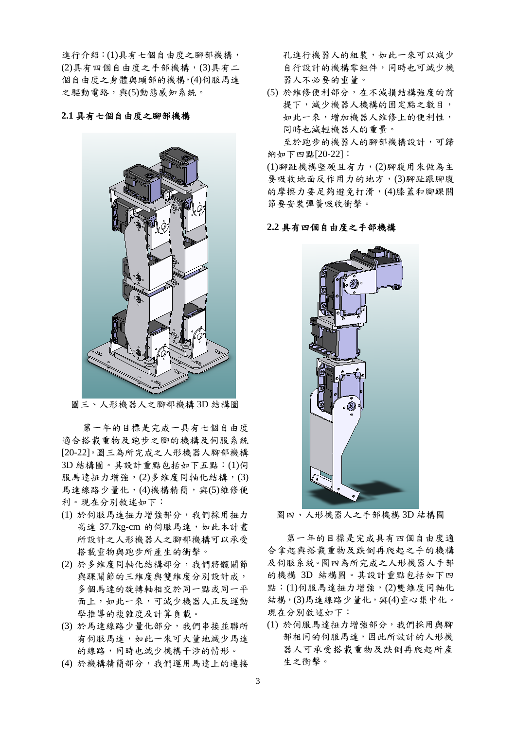進行介紹: (1)具有七個自由度之腳部機構, (2)具有四個自由度之手部機構,(3)具有二 個自由度之身體與頭部的機構,(4)伺服馬達 之驅動電路,與(5)動態感知系統。

#### **2.1** 具有七個自由度之腳部機構



圖三、人形機器人之腳部機構 3D 結構圖

第一年的目標是完成一具有七個自由度 適合搭載重物及跑步之腳的機構及伺服系統 [20-22]。圖三為所完成之人形機器人腳部機構 3D 結構圖。其設計重點包括如下五點:(1)伺 服馬達扭力增強,(2)多維度同軸化結構,(3) 馬達線路少量化,(4)機構精簡,與(5)維修便 利。現在分別敘述如下:

- (1) 於伺服馬達扭力增強部分,我們採用扭力 高達 37.7kg-cm 的伺服馬達,如此本計書 所設計之人形機器人之腳部機構可以承受 搭載重物與跑步所產生的衝擊。
- (2) 於多維度同軸化結構部分,我們將髖關節 與踝關節的三維度與雙維度分別設計成, 多個馬達的旋轉軸相交於同一點或同一平 面上,如此一來,可減少機器人正反運動 學推導的複雜度及計算負載。
- (3) 於馬達線路少量化部分,我們串接並聯所 有伺服馬達,如此一來可大量地減少馬達 的線路,同時也減少機構干涉的情形。
- (4) 於機構精簡部分,我們運用馬達上的連接

孔進行機器人的組裝,如此一來可以減少 自行設計的機構零組件,同時也可減少機 器人不必要的重量。

(5) 於維修便利部分,在不減損結構強度的前 提下,減少機器人機構的固定點之數目, 如此一來,增加機器人維修上的便利性, 同時也減輕機器人的重量。

至於跑步的機器人的腳部機構設計,可歸 納如下四點[20-22]:

(1)腳趾機構堅硬且有力,(2)腳腹用來做為主 要吸收地面反作用力的地方,(3)腳趾跟腳腹 的摩擦力要足夠避免打滑,(4)膝蓋和腳踝關 節要安裝彈簧吸收衝擊。

#### **2.2** 具有四個自由度之手部機構



圖四、人形機器人之手部機構 3D 結構圖

 第一年的目標是完成具有四個自由度適 合拿起與搭載重物及跌倒再爬起之手的機構 及伺服系統。圖四為所完成之人形機器人手部 的機構 3D 結構圖。其設計重點包括如下四 點:(1)伺服馬達扭力增強,(2)雙維度同軸化 結構,(3)馬達線路少量化,與(4)重心集中化。 現在分別敘述如下:

(1) 於伺服馬達扭力增強部分,我們採用與腳 部相同的伺服馬達,因此所設計的人形機 器人可承受搭載重物及跌倒再爬起所產 生之衝擊。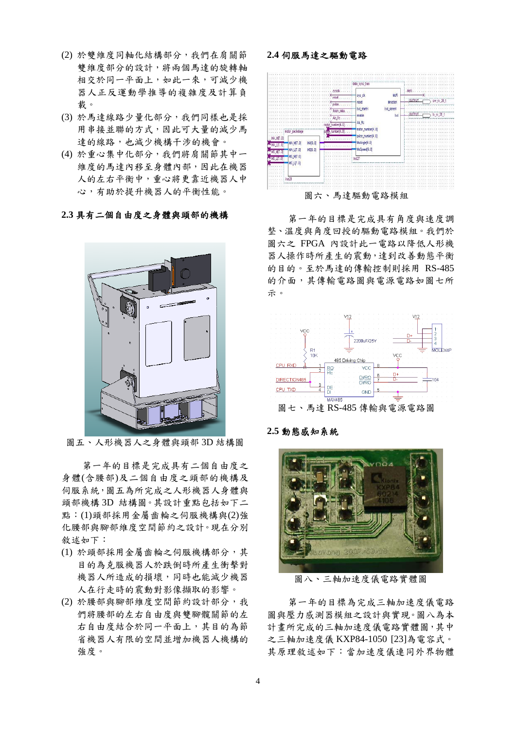- (2) 於雙維度同軸化結構部分,我們在肩關節 雙維度部分的設計,將兩個馬達的旋轉軸 相交於同一平面上,如此一來,可減少機 器人正反運動學推導的複雜度及計算負 載。
- (3) 於馬達線路少量化部分,我們同樣也是採 用串接並聯的方式,因此可大量的減少馬 達的線路,也減少機構干涉的機會。
- (4) 於重心集中化部分,我們將肩關節其中一 維度的馬達內移至身體內部,因此在機器 人的左右平衡中,重心將更靠近機器人中 心,有助於提升機器人的平衡性能。

### **2.3** 具有二個自由度之身體與頭部的機構



圖五、人形機器人之身體與頭部 3D 結構圖

第一年的目標是完成具有二個自由度之 身體(含腰部)及二個自由度之頭部的機構及 伺服系統,圖五為所完成之人形機器人身體與 頭部機構 3D 結構圖。其設計重點包括如下二 點:(1)頭部採用金屬齒輪之伺服機構與(2)強 化腰部與腳部維度空間節約之設計。現在分別 敘述如下:

- (1) 於頭部採用金屬齒輪之伺服機構部分,其 目的為克服機器人於跌倒時所產生衝擊對 機器人所造成的損壞,同時也能減少機器 人在行走時的震動對影像擷取的影響。
- (2) 於腰部與腳部維度空間節約設計部分,我 們將腰部的左右自由度與雙腳髖關節的左 右自由度結合於同一平面上,其目的為節 省機器人有限的空間並增加機器人機構的 強度。

### **2.4** 伺服馬達之驅動電路



圖六、馬達驅動電路模組

第一年的目標是完成具有角度與速度調 整、溫度與角度回授的驅動電路模組。我們於 圖六之 FPGA 內設計此一電路以降低人形機 器人操作時所產生的震動,達到改善動態平衡 的目的。至於馬達的傳輸控制則採用 RS-485 的介面,其傳輸電路圖與電源電路如圖七所 示。



## **2.5** 動態感知系統



圖八、三軸加速度儀電路實體圖

第一年的目標為完成三軸加速度儀電路 圖與壓力感測器模組之設計與實現。圖八為本 計畫所完成的三軸加速度儀電路實體圖,其中 之三軸加速度儀 KXP84-1050 [23]為電容式。 其原理敘述如下:當加速度儀連同外界物體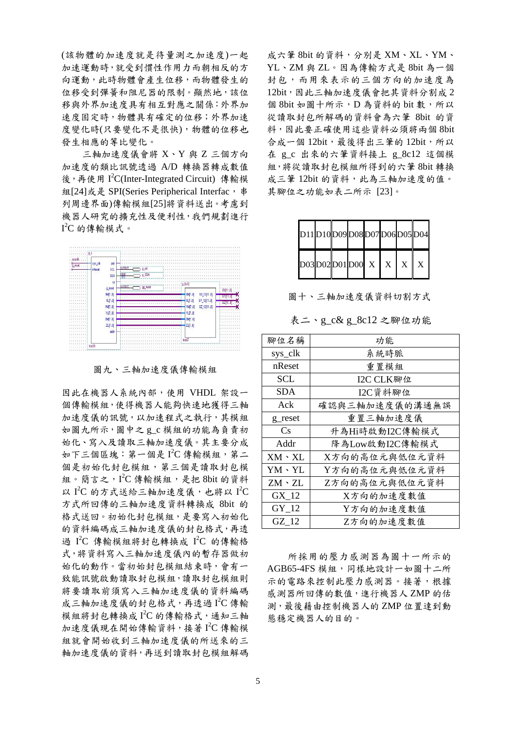(該物體的加速度就是待量測之加速度)一起 加速運動時,就受到慣性作用力而朝相反的方 向運動,此時物體會產生位移,而物體發生的 位移受到彈簧和阻尼器的限制。顯然地,該位 移與外界加速度具有相互對應之關係:外界加 速度固定時,物體具有確定的位移;外界加速 度變化時(只要變化不是很快),物體的位移也 發生相應的等比變化。

三軸加速度儀會將 X、Y 與 Z 三個方向 加速度的類比訊號透過 A/D 轉換器轉成數值 後,再使用 I<sup>2</sup>C(Inter-Integrated Circuit) 傳輸模 組[24]或是 SPI(Series Peripherical Interfac, 串 列周邊界面)傳輸模組[25]將資料送出。考慮到 機器人研究的擴充性及便利性,我們規劃進行  $I^2C$  的傳輸模式。



圖九、三軸加速度儀傳輸模組

因此在機器人系統內部,使用 VHDL 架設一 個傳輸模組,使得機器人能夠快速地獲得三軸 加速度儀的訊號,以加速程式之執行,其模組 如圖九所示, 圖中之gc 模組的功能為負責初 始化、寫入及讀取三軸加速度儀。其主要分成 如下三個區塊:第一個是 I2C 傳輸模組,第二 個是初始化封包模組,第三個是讀取封包模 組。簡言之, I2C 傳輸模組,是把 8bit 的資料 以 I2C 的方式送給三軸加速度儀,也將以 I2C 方式所回傳的三軸加速度資料轉換成 8bit 的 格式送回。初始化封包模組,是要寫入初始化 的資料編碼成三軸加速度儀的封包格式,再透 過 I<sup>2</sup>C 傳輸模組將封包轉換成 I<sup>2</sup>C 的傳輸格 式,將資料寫入三軸加速度儀內的暫存器做初 始化的動作。當初始封包模組結束時,會有一 致能訊號啟動讀取封包模組則 將要讀取前須寫入三軸加速度儀的資料編碼 成三軸加速度儀的封包格式,再透過 I2C傳輸 模組將封包轉換成 I2C 的傳輸格式,通知三軸 加速度儀現在開始傳輸資料,接著 I 2 C 傳輸模 組就會開始收到三軸加速度儀的所送來的三 軸加速度儀的資料,再送到讀取封包模組解碼 成六筆 8bit 的資料,分別是 XM、XL、YM、 YL、ZM 與 ZL。因為傳輸方式是 8bit 為一個 封包,而用來表示的三個方向的加速度為 12bit,因此三軸加速度儀會把其資料分割成 2 個 8bit 如圖十所示, D為資料的 bit 數, 所以 從讀取封包所解碼的資料會為六筆 8bit 的資 料,因此要正確使用這些資料必須將兩個 8bit 合成一個 12bit,最後得出三筆的 12bit,所以 在 g\_c 出來的六筆資料接上 g\_8c12 這個模 組,將從讀取封包模組所得到的六筆 8bit 轉換 成三筆 12bit 的資料,此為三軸加速度的值。 其腳位之功能如表二所示 [23]。

| D11D10D09D08D07D06D05D04 |  |  |              |                           |   |
|--------------------------|--|--|--------------|---------------------------|---|
| D03D02D01D00 X           |  |  | $\mathbf{X}$ | $\boldsymbol{\mathrm{X}}$ | X |

圖十、三軸加速度儀資料切割方式

表二、g\_c& g 8c12 之腳位功能

| 腳位名稱          | 功能             |  |  |  |
|---------------|----------------|--|--|--|
| sys_clk       | 系統時脈           |  |  |  |
| nReset        | 重置模組           |  |  |  |
| <b>SCL</b>    | I2C CLK腳位      |  |  |  |
| SDA           | I2C資料腳位        |  |  |  |
| Ack           | 確認與三軸加速度儀的溝通無誤 |  |  |  |
| g reset       | 重置三軸加速度儀       |  |  |  |
| Cs            | 升為Hi時啟動I2C傳輸模式 |  |  |  |
| Addr          | 降為Low啟動I2C傳輸模式 |  |  |  |
| $XM \cdot XL$ | X方向的高位元與低位元資料  |  |  |  |
| $YM \cdot YL$ | Y方向的高位元與低位元資料  |  |  |  |
| $ZM \cdot ZL$ | Z方向的高位元與低位元資料  |  |  |  |
| GX 12         | X方向的加速度數值      |  |  |  |
| GY 12         | Y方向的加速度數值      |  |  |  |
| GZ 12         | Z方向的加速度數值      |  |  |  |

所採用的壓力感測器為圖十一所示的 AGB65-4FS 模組,同樣地設計一如圖十二所 示的電路來控制此壓力感測器。接著,根據 感測器所回傳的數值,進行機器人 ZMP 的估 測,最後藉由控制機器人的 ZMP 位置達到動 態穩定機器人的目的。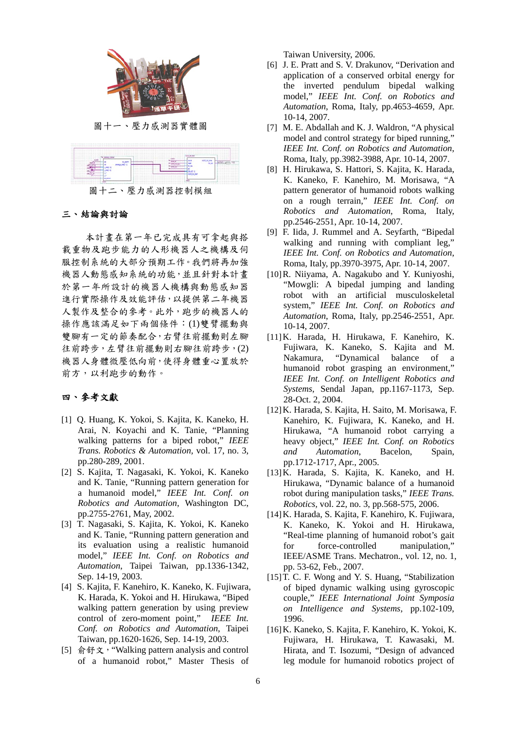

圖十一、壓力感測器實體圖



圖十二、壓力感測器控制模組

#### 三、結論與討論

本計畫在第一年已完成具有可拿起與搭 載重物及跑步能力的人形機器人之機構及伺 服控制系統的大部分預期工作。我們將再加強 機器人動態感知系統的功能,並且針對本計畫 於第一年所設計的機器人機構與動態感知器 進行實際操作及效能評估,以提供第二年機器 人製作及整合的參考。此外,跑步的機器人的 操作應該滿足如下兩個條件:(1)雙臂擺動與 雙腳有一定的節奏配合,右臂往前擺動則左腳 往前跨步,左臂往前擺動則右腳往前跨步,(2) 機器人身體微壓低向前,使得身體重心置放於 前方,以利跑步的動作。

## 四、參考文獻

- [1] Q. Huang, K. Yokoi, S. Kajita, K. Kaneko, H. Arai, N. Koyachi and K. Tanie, "Planning walking patterns for a biped robot," *IEEE Trans. Robotics & Automation,* vol. 17, no. 3, pp.280-289, 2001.
- [2] S. Kajita, T. Nagasaki, K. Yokoi, K. Kaneko and K. Tanie, "Running pattern generation for a humanoid model," *IEEE Int. Conf. on Robotics and Automation*, Washington DC, pp.2755-2761, May, 2002.
- [3] T. Nagasaki, S. Kajita, K. Yokoi, K. Kaneko and K. Tanie, "Running pattern generation and its evaluation using a realistic humanoid model," *IEEE Int. Conf. on Robotics and Automation*, Taipei Taiwan, pp.1336-1342, Sep. 14-19, 2003.
- [4] S. Kajita, F. Kanehiro, K. Kaneko, K. Fujiwara, K. Harada, K. Yokoi and H. Hirukawa, "Biped walking pattern generation by using preview control of zero-moment point," *IEEE Int. Conf. on Robotics and Automation*, Taipei Taiwan, pp.1620-1626, Sep. 14-19, 2003.
- [5] 俞舒文,"Walking pattern analysis and control of a humanoid robot," Master Thesis of

Taiwan University, 2006.

- [6] J. E. Pratt and S. V. Drakunov, "Derivation and application of a conserved orbital energy for the inverted pendulum bipedal walking model," *IEEE Int. Conf. on Robotics and Automation*, Roma, Italy, pp.4653-4659, Apr. 10-14, 2007.
- [7] M. E. Abdallah and K. J. Waldron, "A physical model and control strategy for biped running," *IEEE Int. Conf. on Robotics and Automation*, Roma, Italy, pp.3982-3988, Apr. 10-14, 2007.
- [8] H. Hirukawa, S. Hattori, S. Kajita, K. Harada, K. Kaneko, F. Kanehiro, M. Morisawa, "A pattern generator of humanoid robots walking on a rough terrain," *IEEE Int. Conf. on Robotics and Automation*, Roma, Italy, pp.2546-2551, Apr. 10-14, 2007.
- [9] F. Iida, J. Rummel and A. Seyfarth, "Bipedal walking and running with compliant leg." *IEEE Int. Conf. on Robotics and Automation*, Roma, Italy, pp.3970-3975, Apr. 10-14, 2007.
- [10]R. Niiyama, A. Nagakubo and Y. Kuniyoshi, "Mowgli: A bipedal jumping and landing robot with an artificial musculoskeletal system," *IEEE Int. Conf. on Robotics and Automation*, Roma, Italy, pp.2546-2551, Apr. 10-14, 2007.
- [11]K. Harada, H. Hirukawa, F. Kanehiro, K. Fujiwara, K. Kaneko, S. Kajita and M. Nakamura, "Dynamical balance of a humanoid robot grasping an environment," *IEEE Int. Conf. on Intelligent Robotics and Systems*, Sendal Japan, pp.1167-1173, Sep. 28-Oct. 2, 2004.
- [12]K. Harada, S. Kajita, H. Saito, M. Morisawa, F. Kanehiro, K. Fujiwara, K. Kaneko, and H. Hirukawa, "A humanoid robot carrying a heavy object," *IEEE Int. Conf. on Robotics and Automation*, Bacelon, Spain, pp.1712-1717, Apr., 2005.
- [13]K. Harada, S. Kajita, K. Kaneko, and H. Hirukawa, "Dynamic balance of a humanoid robot during manipulation tasks," *IEEE Trans. Robotics,* vol. 22, no. 3, pp.568-575, 2006.
- [14]K. Harada, S. Kajita, F. Kanehiro, K. Fujiwara, K. Kaneko, K. Yokoi and H. Hirukawa, "Real-time planning of humanoid robot's gait for force-controlled manipulation," IEEE/ASME Trans. Mechatron., vol. 12, no. 1, pp. 53-62, Feb., 2007.
- [15] T. C. F. Wong and Y. S. Huang, "Stabilization of biped dynamic walking using gyroscopic couple," *IEEE International Joint Symposia on Intelligence and Systems,* pp.102-109, 1996.
- [16]K. Kaneko, S. Kajita, F. Kanehiro, K. Yokoi, K. Fujiwara, H. Hirukawa, T. Kawasaki, M. Hirata, and T. Isozumi, "Design of advanced leg module for humanoid robotics project of